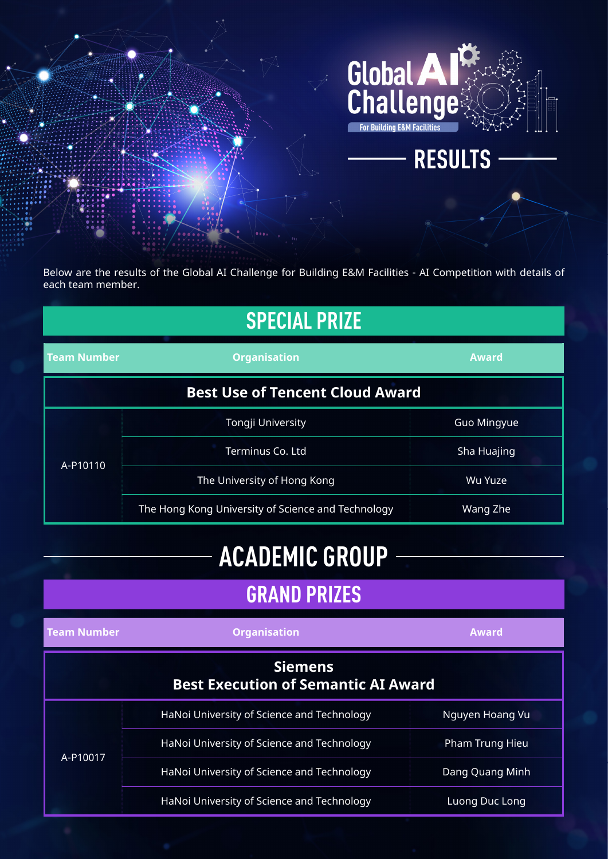

Below are the results of the Global AI Challenge for Building E&M Facilities - AI Competition with details of each team member.

| <b>SPECIAL PRIZE</b>                   |                                                    |                    |  |
|----------------------------------------|----------------------------------------------------|--------------------|--|
| <b>Team Number</b>                     | <b>Organisation</b>                                | <b>Award</b>       |  |
| <b>Best Use of Tencent Cloud Award</b> |                                                    |                    |  |
|                                        | Tongji University                                  | <b>Guo Mingyue</b> |  |
| A-P10110                               | Terminus Co. Ltd                                   | Sha Huajing        |  |
|                                        | The University of Hong Kong                        | Wu Yuze            |  |
|                                        | The Hong Kong University of Science and Technology | Wang Zhe           |  |

## **ACADEMIC GROUP**

### **GRAND PRIZES**

| <b>Team Number</b> | <b>Organisation</b>                                          | <b>Award</b>    |
|--------------------|--------------------------------------------------------------|-----------------|
|                    | <b>Siemens</b><br><b>Best Execution of Semantic AI Award</b> |                 |
|                    | HaNoi University of Science and Technology                   | Nguyen Hoang Vu |
| A-P10017           | HaNoi University of Science and Technology                   | Pham Trung Hieu |
|                    | HaNoi University of Science and Technology                   | Dang Quang Minh |
|                    | HaNoi University of Science and Technology                   | Luong Duc Long  |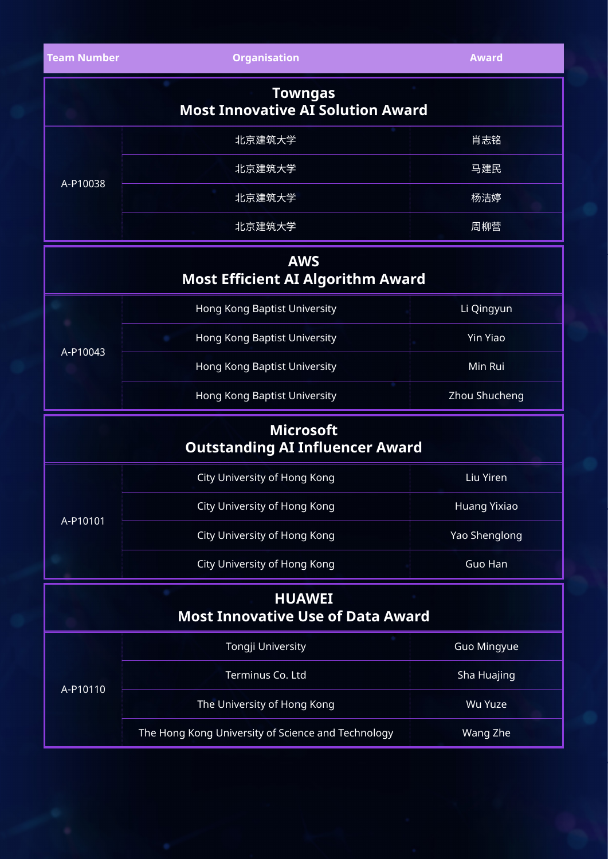| <b>Team Number</b> | <b>Organisation</b>                                        | <b>Award</b> |
|--------------------|------------------------------------------------------------|--------------|
|                    | <b>Towngas</b><br><b>Most Innovative AI Solution Award</b> |              |
| A-P10038           | 北京建筑大学                                                     | 肖志铭          |
|                    | 北京建筑大学                                                     | 马建民          |
|                    | 北京建筑大学                                                     | 杨洁婷          |
|                    | 北京建筑大学                                                     | 周柳营          |

#### **AWS Most Efficient AI Algorithm Award**

| A-P10043 | Hong Kong Baptist University | Li Qingyun    |
|----------|------------------------------|---------------|
|          | Hong Kong Baptist University | Yin Yiao      |
|          | Hong Kong Baptist University | Min Rui       |
|          | Hong Kong Baptist University | Zhou Shucheng |

#### **Microsoft Outstanding AI Influencer Award**

| A-P10101 | City University of Hong Kong | Liu Yiren     |
|----------|------------------------------|---------------|
|          | City University of Hong Kong | Huang Yixiao  |
|          | City University of Hong Kong | Yao Shenglong |
|          | City University of Hong Kong | Guo Han       |

| <b>HUAWEI</b><br><b>Most Innovative Use of Data Award</b> |                             |                    |
|-----------------------------------------------------------|-----------------------------|--------------------|
|                                                           | Tongji University           | <b>Guo Mingyue</b> |
|                                                           | Terminus Co. Ltd            | Sha Huajing        |
| A-P10110                                                  | The University of Hong Kong | Wu Yuze            |

The Hong Kong University of Science and Technology Wang Zhe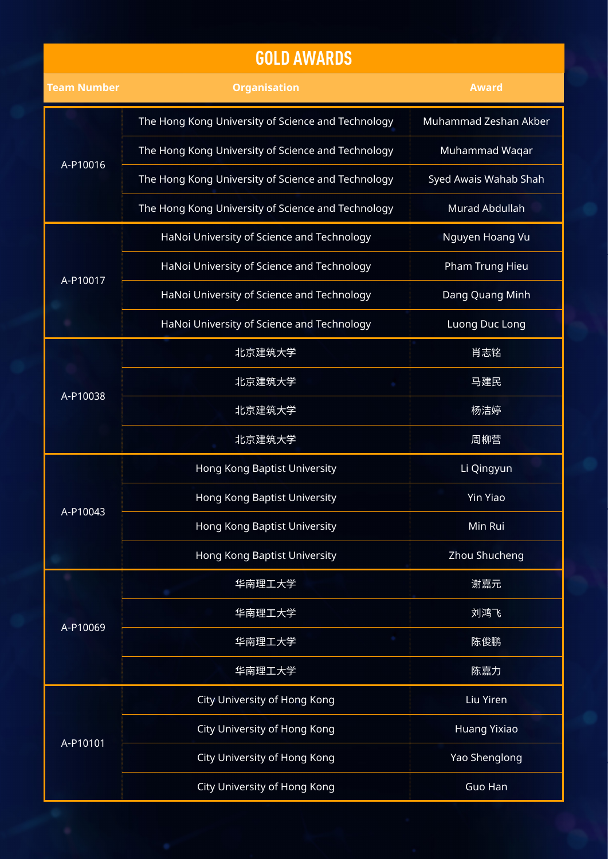#### **GOLD AWARDS**

| <b>Team Number</b> | <b>Organisation</b>                                | <b>Award</b>          |
|--------------------|----------------------------------------------------|-----------------------|
|                    | The Hong Kong University of Science and Technology | Muhammad Zeshan Akber |
|                    | The Hong Kong University of Science and Technology | Muhammad Waqar        |
| A-P10016           | The Hong Kong University of Science and Technology | Syed Awais Wahab Shah |
|                    | The Hong Kong University of Science and Technology | Murad Abdullah        |
|                    | HaNoi University of Science and Technology         | Nguyen Hoang Vu       |
| A-P10017           | HaNoi University of Science and Technology         | Pham Trung Hieu       |
|                    | HaNoi University of Science and Technology         | Dang Quang Minh       |
|                    | HaNoi University of Science and Technology         | Luong Duc Long        |
|                    | 北京建筑大学                                             | 肖志铭                   |
| A-P10038           | 北京建筑大学                                             | 马建民                   |
|                    | 北京建筑大学                                             | 杨洁婷                   |
|                    | 北京建筑大学                                             | 周柳营                   |
|                    | Hong Kong Baptist University                       | Li Qingyun            |
| A-P10043           | Hong Kong Baptist University                       | <b>Yin Yiao</b>       |
|                    | Hong Kong Baptist University                       | Min Rui               |
|                    | Hong Kong Baptist University                       | Zhou Shucheng         |
|                    | 华南理工大学                                             | 谢嘉元                   |
| A-P10069           | 华南理工大学                                             | 刘鸿飞                   |
|                    | 华南理工大学                                             | 陈俊鹏                   |
|                    | 华南理工大学                                             | 陈嘉力                   |
|                    | City University of Hong Kong                       | Liu Yiren             |
|                    | City University of Hong Kong                       | Huang Yixiao          |
| A-P10101           | City University of Hong Kong                       | Yao Shenglong         |
|                    | City University of Hong Kong                       | Guo Han               |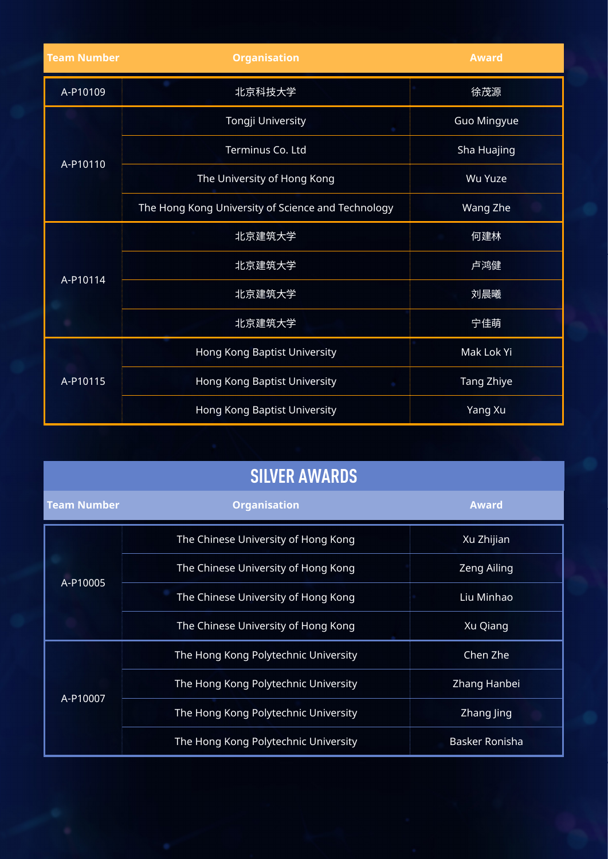| <b>Team Number</b> | <b>Organisation</b>                                | <b>Award</b>   |
|--------------------|----------------------------------------------------|----------------|
| A-P10109           | 北京科技大学                                             | 徐茂源            |
|                    | Tongji University                                  | Guo Mingyue    |
| A-P10110           | Terminus Co. Ltd                                   | Sha Huajing    |
|                    | The University of Hong Kong                        | <b>Wu Yuze</b> |
|                    | The Hong Kong University of Science and Technology | Wang Zhe       |
|                    | 北京建筑大学                                             | 何建林            |
| A-P10114           | 北京建筑大学                                             | 卢鸿健            |
|                    | 北京建筑大学                                             | 刘晨曦            |
|                    | 北京建筑大学                                             | 宁佳萌            |
|                    | Hong Kong Baptist University                       | Mak Lok Yi     |
| A-P10115           | Hong Kong Baptist University                       | Tang Zhiye     |
|                    | Hong Kong Baptist University                       | Yang Xu        |

| <b>SILVER AWARDS</b> |                                      |                    |  |
|----------------------|--------------------------------------|--------------------|--|
| <b>Team Number</b>   | <b>Organisation</b>                  | <b>Award</b>       |  |
|                      | The Chinese University of Hong Kong  | Xu Zhijian         |  |
| A-P10005             | The Chinese University of Hong Kong  | <b>Zeng Ailing</b> |  |
|                      | The Chinese University of Hong Kong  | Liu Minhao         |  |
|                      | The Chinese University of Hong Kong  | Xu Qiang           |  |
| A-P10007             | The Hong Kong Polytechnic University | Chen Zhe           |  |
|                      | The Hong Kong Polytechnic University | Zhang Hanbei       |  |
|                      | The Hong Kong Polytechnic University | Zhang Jing         |  |
|                      | The Hong Kong Polytechnic University | Basker Ronisha     |  |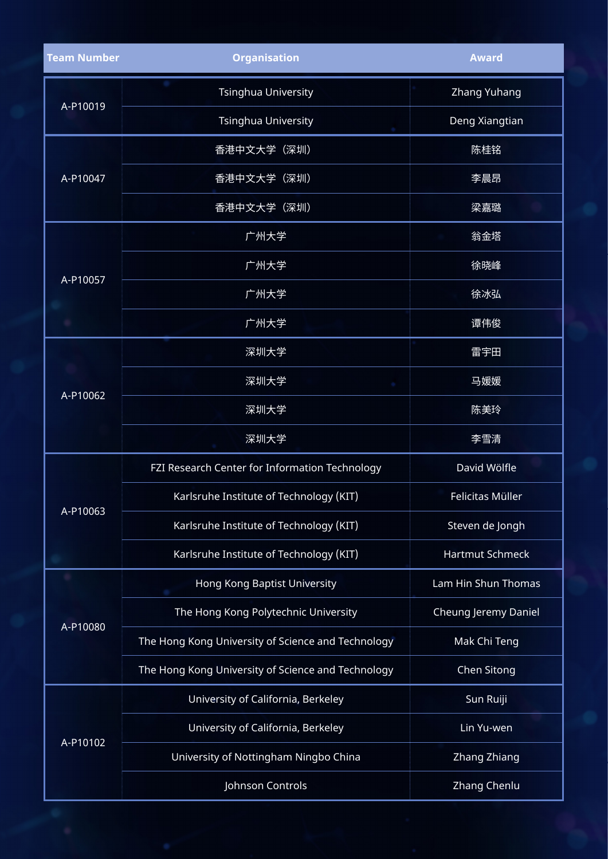| <b>Team Number</b> | <b>Organisation</b>                                | <b>Award</b>         |
|--------------------|----------------------------------------------------|----------------------|
|                    | Tsinghua University                                | Zhang Yuhang         |
| A-P10019           | <b>Tsinghua University</b>                         | Deng Xiangtian       |
|                    | 香港中文大学(深圳)                                         | 陈桂铭                  |
| A-P10047           | 香港中文大学 (深圳)                                        | 李晨昂                  |
|                    | 香港中文大学 (深圳)                                        | 梁嘉璐                  |
|                    | 广州大学                                               | 翁金塔                  |
| A-P10057           | 广州大学                                               | 徐晓峰                  |
|                    | 广州大学                                               | 徐冰弘                  |
|                    | 广州大学                                               | 谭伟俊                  |
|                    | 深圳大学                                               | 雷宇田                  |
|                    | 深圳大学                                               | 马媛媛                  |
| A-P10062           | 深圳大学                                               | 陈美玲                  |
|                    | 深圳大学                                               | 李雪清                  |
|                    | FZI Research Center for Information Technology     | David Wölfle         |
| A-P10063           | Karlsruhe Institute of Technology (KIT)            | Felicitas Müller     |
|                    | Karlsruhe Institute of Technology (KIT)            | Steven de Jongh      |
|                    | Karlsruhe Institute of Technology (KIT)            | Hartmut Schmeck      |
|                    | Hong Kong Baptist University                       | Lam Hin Shun Thomas  |
| A-P10080           | The Hong Kong Polytechnic University               | Cheung Jeremy Daniel |
|                    | The Hong Kong University of Science and Technology | Mak Chi Teng         |
|                    | The Hong Kong University of Science and Technology | Chen Sitong          |
|                    | University of California, Berkeley                 | Sun Ruiji            |
|                    | University of California, Berkeley                 | Lin Yu-wen           |
| A-P10102           | University of Nottingham Ningbo China              | Zhang Zhiang         |
|                    | Johnson Controls                                   | Zhang Chenlu         |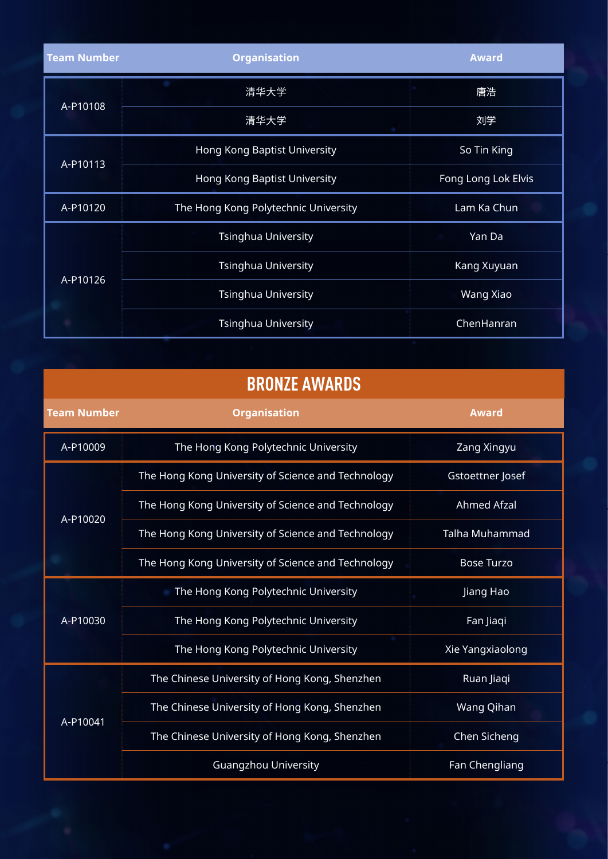| <b>Team Number</b> | <b>Organisation</b>                  | <b>Award</b>        |
|--------------------|--------------------------------------|---------------------|
|                    | 清华大学                                 | 唐浩                  |
| A-P10108           | 清华大学                                 | 刘学                  |
|                    | Hong Kong Baptist University         | So Tin King         |
| A-P10113           | Hong Kong Baptist University         | Fong Long Lok Elvis |
| A-P10120           | The Hong Kong Polytechnic University | Lam Ka Chun         |
|                    | <b>Tsinghua University</b>           | Yan Da              |
| A-P10126           | <b>Tsinghua University</b>           | Kang Xuyuan         |
|                    | <b>Tsinghua University</b>           | Wang Xiao           |
|                    | <b>Tsinghua University</b>           | ChenHanran          |

### **BRONZE AWARDS**

| <b>Team Number</b> | <b>Organisation</b>                                | <b>Award</b>       |
|--------------------|----------------------------------------------------|--------------------|
| A-P10009           | The Hong Kong Polytechnic University               | Zang Xingyu        |
|                    | The Hong Kong University of Science and Technology | Gstoettner Josef   |
|                    | The Hong Kong University of Science and Technology | <b>Ahmed Afzal</b> |
| A-P10020           | The Hong Kong University of Science and Technology | Talha Muhammad     |
|                    | The Hong Kong University of Science and Technology | <b>Bose Turzo</b>  |
|                    | The Hong Kong Polytechnic University               | Jiang Hao          |
| A-P10030           | The Hong Kong Polytechnic University               | Fan Jiaqi          |
|                    | The Hong Kong Polytechnic University               | Xie Yangxiaolong   |
| A-P10041           | The Chinese University of Hong Kong, Shenzhen      | Ruan Jiaqi         |
|                    | The Chinese University of Hong Kong, Shenzhen      | Wang Qihan         |
|                    | The Chinese University of Hong Kong, Shenzhen      | Chen Sicheng       |
|                    | <b>Guangzhou University</b>                        | Fan Chengliang     |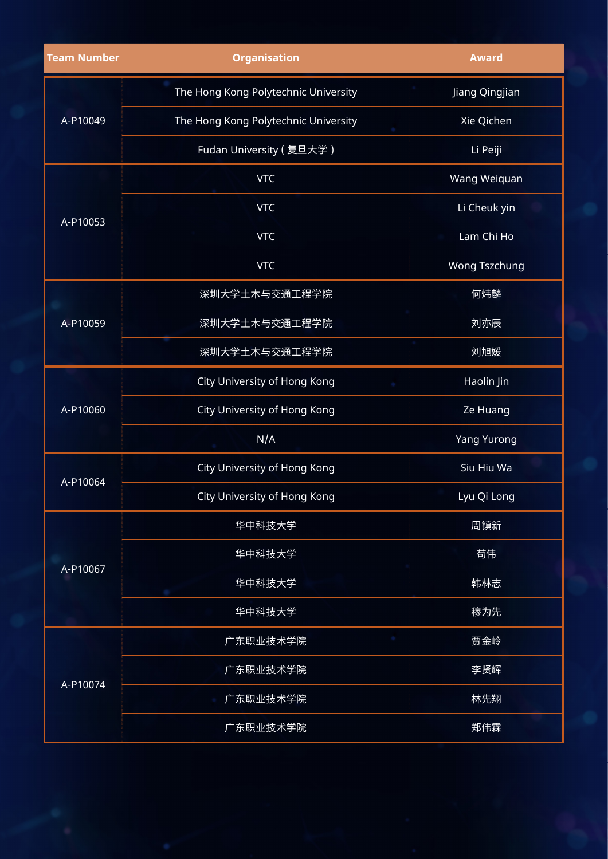| <b>Team Number</b> | <b>Organisation</b>                  | <b>Award</b>       |
|--------------------|--------------------------------------|--------------------|
| A-P10049           | The Hong Kong Polytechnic University | Jiang Qingjian     |
|                    | The Hong Kong Polytechnic University | Xie Qichen         |
|                    | Fudan University (复旦大学)              | Li Peiji           |
|                    | <b>VTC</b>                           | Wang Weiquan       |
| A-P10053           | <b>VTC</b>                           | Li Cheuk yin       |
|                    | <b>VTC</b>                           | Lam Chi Ho         |
|                    | <b>VTC</b>                           | Wong Tszchung      |
|                    | 深圳大学土木与交通工程学院                        | 何炜麟                |
| A-P10059           | 深圳大学土木与交通工程学院                        | 刘亦辰                |
|                    | 深圳大学土木与交通工程学院                        | 刘旭媛                |
|                    | City University of Hong Kong         | Haolin Jin         |
| A-P10060           | City University of Hong Kong         | Ze Huang           |
|                    | N/A                                  | <b>Yang Yurong</b> |
|                    | City University of Hong Kong         | Siu Hiu Wa         |
| A-P10064           | City University of Hong Kong         | Lyu Qi Long        |
|                    | 华中科技大学                               | 周镇新                |
|                    | 华中科技大学                               | 苟伟                 |
| A-P10067           | 华中科技大学                               | 韩林志                |
|                    | 华中科技大学                               | 穆为先                |
| A-P10074           | 广东职业技术学院                             | 贾金岭                |
|                    | 广东职业技术学院                             | 李贤辉                |
|                    | 广东职业技术学院                             | 林先翔                |
|                    | 广东职业技术学院                             | 郑伟霖                |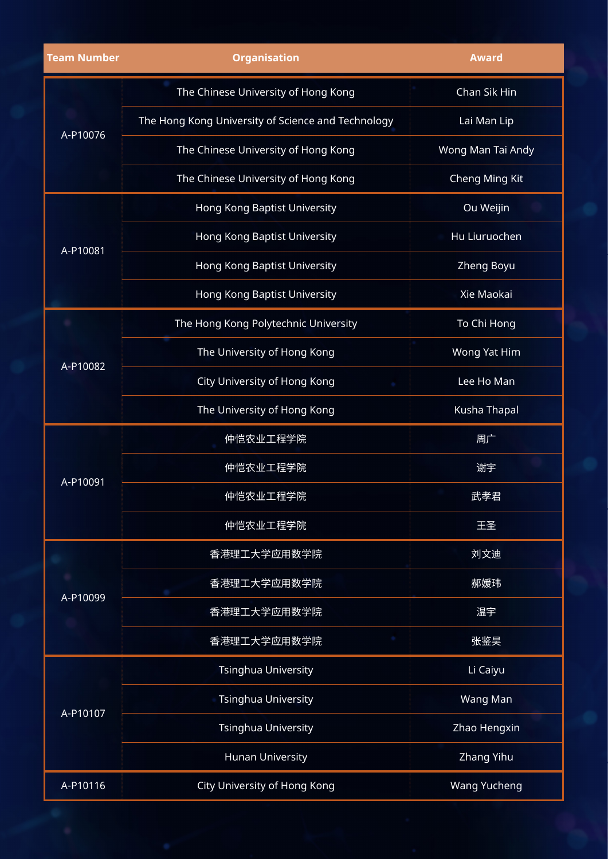| <b>Team Number</b> | <b>Organisation</b>                                | <b>Award</b>        |
|--------------------|----------------------------------------------------|---------------------|
|                    | The Chinese University of Hong Kong                | Chan Sik Hin        |
|                    | The Hong Kong University of Science and Technology | Lai Man Lip         |
| A-P10076           | The Chinese University of Hong Kong                | Wong Man Tai Andy   |
|                    | The Chinese University of Hong Kong                | Cheng Ming Kit      |
|                    | Hong Kong Baptist University                       | Ou Weijin           |
| A-P10081           | Hong Kong Baptist University                       | Hu Liuruochen       |
|                    | Hong Kong Baptist University                       | Zheng Boyu          |
|                    | Hong Kong Baptist University                       | Xie Maokai          |
|                    | The Hong Kong Polytechnic University               | To Chi Hong         |
| A-P10082           | The University of Hong Kong                        | Wong Yat Him        |
|                    | City University of Hong Kong                       | Lee Ho Man          |
|                    | The University of Hong Kong                        | Kusha Thapal        |
|                    | 仲恺农业工程学院                                           | 周广                  |
| A-P10091           | 仲恺农业工程学院                                           | 谢宇                  |
|                    | 仲恺农业工程学院                                           | 武孝君                 |
|                    | 仲恺农业工程学院                                           | 王圣                  |
|                    | 香港理工大学应用数学院                                        | 刘文迪                 |
| A-P10099           | 香港理工大学应用数学院                                        | 郝媛玮                 |
|                    | 香港理工大学应用数学院                                        | 温宇                  |
|                    | 香港理工大学应用数学院                                        | 张鉴昊                 |
| A-P10107           | <b>Tsinghua University</b>                         | Li Caiyu            |
|                    | <b>Tsinghua University</b>                         | Wang Man            |
|                    | Tsinghua University                                | Zhao Hengxin        |
|                    | <b>Hunan University</b>                            | Zhang Yihu          |
| A-P10116           | City University of Hong Kong                       | <b>Wang Yucheng</b> |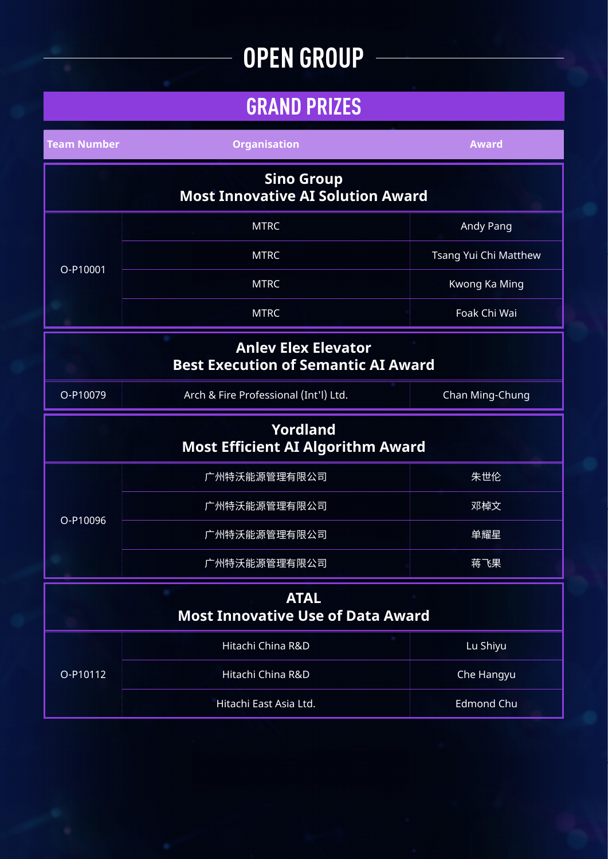# **OPEN GROUP**

## **GRAND PRIZES**

| <b>Team Number</b>                                                       | <b>Organisation</b>                   | <b>Award</b>          |
|--------------------------------------------------------------------------|---------------------------------------|-----------------------|
| <b>Sino Group</b><br><b>Most Innovative AI Solution Award</b>            |                                       |                       |
|                                                                          | <b>MTRC</b>                           | Andy Pang             |
|                                                                          | <b>MTRC</b>                           | Tsang Yui Chi Matthew |
| $O-P10001$                                                               | <b>MTRC</b>                           | Kwong Ka Ming         |
|                                                                          | <b>MTRC</b>                           | Foak Chi Wai          |
| <b>Anley Elex Elevator</b><br><b>Best Execution of Semantic AI Award</b> |                                       |                       |
| O-P10079                                                                 | Arch & Fire Professional (Int'l) Ltd. | Chan Ming-Chung       |
| <b>Yordland</b><br><b>Most Efficient AI Algorithm Award</b>              |                                       |                       |
|                                                                          | 广州特沃能源管理有限公司                          | 朱世伦                   |
| O-P10096                                                                 | 广州特沃能源管理有限公司                          | 邓棹文                   |
|                                                                          | 广州特沃能源管理有限公司                          | 单耀星                   |
|                                                                          | 广州特沃能源管理有限公司                          | 蒋飞果                   |
| <b>ATAL</b><br><b>Most Innovative Use of Data Award</b>                  |                                       |                       |
| O-P10112                                                                 | Hitachi China R&D                     | Lu Shiyu              |
|                                                                          | Hitachi China R&D                     | Che Hangyu            |
|                                                                          | Hitachi East Asia Ltd.                | <b>Edmond Chu</b>     |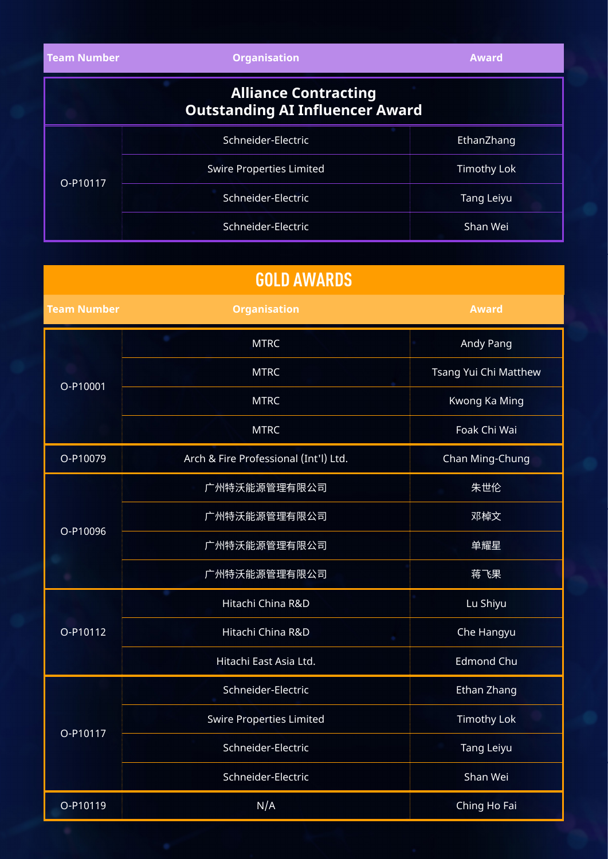| <b>Team Number</b> | <b>Organisation</b>                                                   | <b>Award</b>       |
|--------------------|-----------------------------------------------------------------------|--------------------|
|                    | <b>Alliance Contracting</b><br><b>Outstanding AI Influencer Award</b> |                    |
|                    | Schneider-Electric                                                    | EthanZhang         |
|                    | <b>Swire Properties Limited</b>                                       | <b>Timothy Lok</b> |
| O-P10117           | Schneider-Electric                                                    | Tang Leiyu         |
|                    | Schneider-Electric                                                    | Shan Wei           |

| <b>GOLD AWARDS</b> |                                       |                       |
|--------------------|---------------------------------------|-----------------------|
| <b>Team Number</b> | <b>Organisation</b>                   | <b>Award</b>          |
|                    | <b>MTRC</b>                           | Andy Pang             |
|                    | <b>MTRC</b>                           | Tsang Yui Chi Matthew |
| O-P10001           | <b>MTRC</b>                           | Kwong Ka Ming         |
|                    | <b>MTRC</b>                           | Foak Chi Wai          |
| O-P10079           | Arch & Fire Professional (Int'l) Ltd. | Chan Ming-Chung       |
|                    | 广州特沃能源管理有限公司                          | 朱世伦                   |
|                    | 广州特沃能源管理有限公司                          | 邓棹文                   |
| O-P10096           | 广州特沃能源管理有限公司                          | 单耀星                   |
|                    | 广州特沃能源管理有限公司                          | 蒋飞果                   |
| O-P10112           | Hitachi China R&D                     | Lu Shiyu              |
|                    | Hitachi China R&D                     | Che Hangyu            |
|                    | Hitachi East Asia Ltd.                | <b>Edmond Chu</b>     |
| O-P10117           | Schneider-Electric                    | Ethan Zhang           |
|                    | Swire Properties Limited              | Timothy Lok           |
|                    | Schneider-Electric                    | <b>Tang Leiyu</b>     |
|                    | Schneider-Electric                    | Shan Wei              |
| O-P10119           | N/A                                   | Ching Ho Fai          |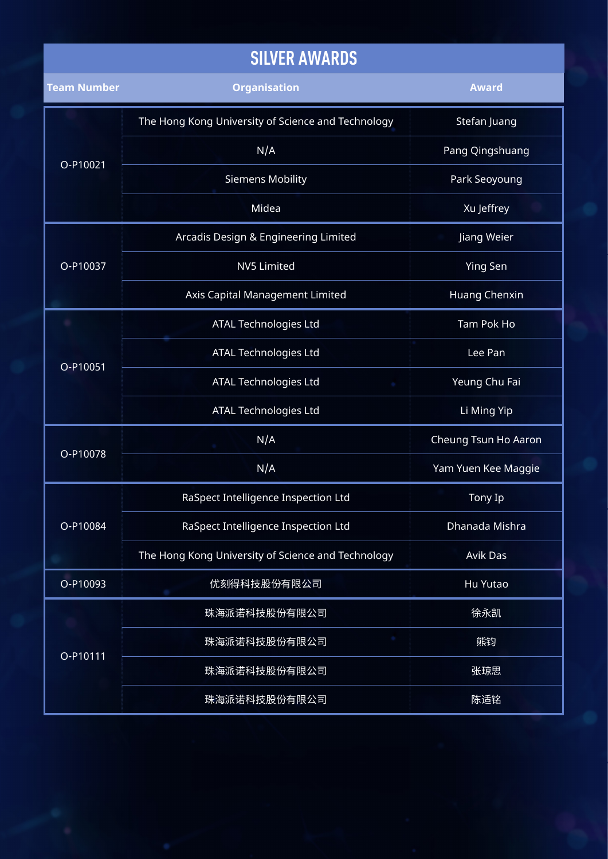### **SILVER AWARDS**

| <b>Team Number</b> | <b>Organisation</b>                                | <b>Award</b>         |
|--------------------|----------------------------------------------------|----------------------|
| O-P10021           | The Hong Kong University of Science and Technology | Stefan Juang         |
|                    | N/A                                                | Pang Qingshuang      |
|                    | <b>Siemens Mobility</b>                            | Park Seoyoung        |
|                    | Midea                                              | Xu Jeffrey           |
|                    | Arcadis Design & Engineering Limited               | Jiang Weier          |
| O-P10037           | <b>NV5 Limited</b>                                 | <b>Ying Sen</b>      |
|                    | Axis Capital Management Limited                    | <b>Huang Chenxin</b> |
|                    | ATAL Technologies Ltd                              | Tam Pok Ho           |
| O-P10051           | ATAL Technologies Ltd                              | Lee Pan              |
|                    | ATAL Technologies Ltd                              | Yeung Chu Fai        |
|                    | ATAL Technologies Ltd                              | Li Ming Yip          |
|                    | N/A                                                | Cheung Tsun Ho Aaron |
| O-P10078           | N/A                                                | Yam Yuen Kee Maggie  |
| O-P10084           | RaSpect Intelligence Inspection Ltd                | Tony Ip              |
|                    | RaSpect Intelligence Inspection Ltd                | Dhanada Mishra       |
|                    | The Hong Kong University of Science and Technology | <b>Avik Das</b>      |
| O-P10093           | 优刻得科技股份有限公司                                        | Hu Yutao             |
| O-P10111           | 珠海派诺科技股份有限公司                                       | 徐永凯                  |
|                    | 珠海派诺科技股份有限公司                                       | 熊钧                   |
|                    | 珠海派诺科技股份有限公司                                       | 张琼思                  |
|                    | 珠海派诺科技股份有限公司                                       | 陈适铭                  |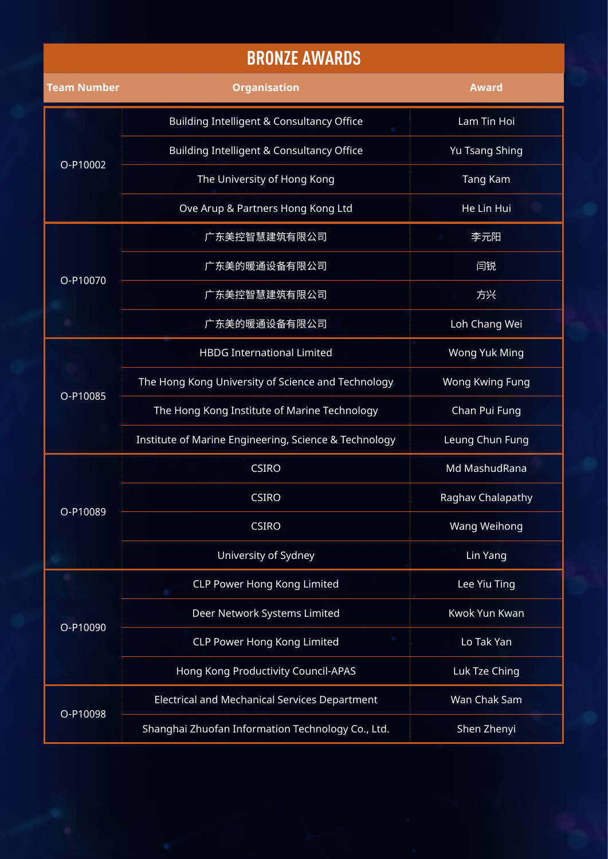#### **BRONZE AWARDS**

| <b>Team Number</b> | <b>Organisation</b>                                   | <b>Award</b>      |
|--------------------|-------------------------------------------------------|-------------------|
| O-P10002           | <b>Building Intelligent &amp; Consultancy Office</b>  | Lam Tin Hoi       |
|                    | Building Intelligent & Consultancy Office             | Yu Tsang Shing    |
|                    | The University of Hong Kong                           | Tang Kam          |
|                    | Ove Arup & Partners Hong Kong Ltd                     | He Lin Hui        |
|                    | 广东美控智慧建筑有限公司                                          | 李元阳               |
| O-P10070           | 广东美的暖通设备有限公司                                          | 闫锐                |
|                    | 广东美控智慧建筑有限公司                                          | 方兴                |
|                    | 广东美的暖通设备有限公司                                          | Loh Chang Wei     |
|                    | <b>HBDG International Limited</b>                     | Wong Yuk Ming     |
| O-P10085           | The Hong Kong University of Science and Technology    | Wong Kwing Fung   |
|                    | The Hong Kong Institute of Marine Technology          | Chan Pui Fung     |
|                    | Institute of Marine Engineering, Science & Technology | Leung Chun Fung   |
|                    | <b>CSIRO</b>                                          | Md MashudRana     |
| O-P10089           | <b>CSIRO</b>                                          | Raghav Chalapathy |
|                    | <b>CSIRO</b>                                          | Wang Weihong      |
|                    | University of Sydney                                  | Lin Yang          |
| O-P10090           | <b>CLP Power Hong Kong Limited</b>                    | Lee Yiu Ting      |
|                    | Deer Network Systems Limited                          | Kwok Yun Kwan     |
|                    | <b>CLP Power Hong Kong Limited</b>                    | Lo Tak Yan        |
|                    | Hong Kong Productivity Council-APAS                   | Luk Tze Ching     |
| O-P10098           | Electrical and Mechanical Services Department         | Wan Chak Sam      |
|                    | Shanghai Zhuofan Information Technology Co., Ltd.     | Shen Zhenyi       |